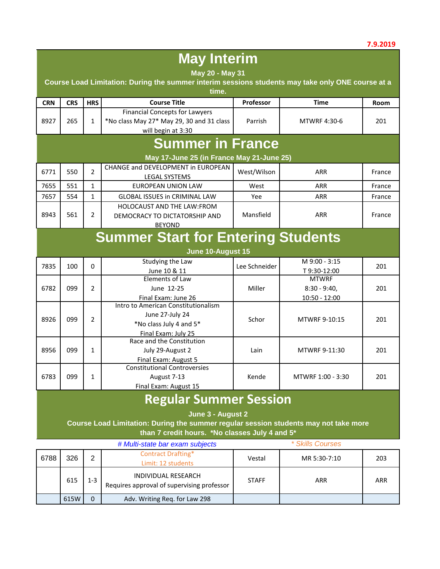|            | <b>May Interim</b><br>May 20 - May 31<br>Course Load Limitation: During the summer interim sessions students may take only ONE course at a |                |                                                                                                                                        |               |                                                   |        |  |  |
|------------|--------------------------------------------------------------------------------------------------------------------------------------------|----------------|----------------------------------------------------------------------------------------------------------------------------------------|---------------|---------------------------------------------------|--------|--|--|
|            |                                                                                                                                            |                | time.                                                                                                                                  |               |                                                   |        |  |  |
| <b>CRN</b> | <b>CRS</b>                                                                                                                                 | <b>HRS</b>     | <b>Course Title</b>                                                                                                                    | Professor     | <b>Time</b>                                       | Room   |  |  |
| 8927       | 265                                                                                                                                        | $\mathbf{1}$   | <b>Financial Concepts for Lawyers</b><br>*No class May 27* May 29, 30 and 31 class<br>will begin at 3:30                               | Parrish       | <b>MTWRF 4:30-6</b>                               | 201    |  |  |
|            |                                                                                                                                            |                | <b>Summer in France</b>                                                                                                                |               |                                                   |        |  |  |
|            | May 17-June 25 (in France May 21-June 25)                                                                                                  |                |                                                                                                                                        |               |                                                   |        |  |  |
| 6771       | CHANGE and DEVELOPMENT in EUROPEAN<br>$\overline{2}$<br>550<br>West/Wilson<br><b>ARR</b><br>France<br>LEGAL SYSTEMS                        |                |                                                                                                                                        |               |                                                   |        |  |  |
| 7655       | 551                                                                                                                                        | $\mathbf{1}$   | <b>EUROPEAN UNION LAW</b>                                                                                                              | West          | <b>ARR</b>                                        | France |  |  |
| 7657       | 554                                                                                                                                        | $\mathbf{1}$   | <b>GLOBAL ISSUES in CRIMINAL LAW</b>                                                                                                   | Yee           | <b>ARR</b>                                        | France |  |  |
| 8943       | 561                                                                                                                                        | $\overline{2}$ | <b>HOLOCAUST AND THE LAW:FROM</b><br>DEMOCRACY TO DICTATORSHIP AND<br><b>BEYOND</b>                                                    | Mansfield     | <b>ARR</b>                                        | France |  |  |
|            |                                                                                                                                            |                | <b>Summer Start for Entering Students</b><br>June 10-August 15                                                                         |               |                                                   |        |  |  |
| 7835       | 100                                                                                                                                        | $\Omega$       | Studying the Law<br>June 10 & 11                                                                                                       | Lee Schneider | M 9:00 - 3:15<br>T9:30-12:00                      | 201    |  |  |
| 6782       | 099                                                                                                                                        | $\overline{2}$ | Elements of Law<br>June 12-25<br>Final Exam: June 26                                                                                   | Miller        | <b>MTWRF</b><br>$8:30 - 9:40,$<br>$10:50 - 12:00$ | 201    |  |  |
| 8926       | 099                                                                                                                                        | 2              | Intro to American Constitutionalism<br>June 27-July 24<br>*No class July 4 and 5*<br>Final Exam: July 25                               | Schor         | MTWRF 9-10:15                                     | 201    |  |  |
| 8956       | 099                                                                                                                                        | $\mathbf{1}$   | Race and the Constitution<br>July 29-August 2<br>Final Exam: August 5                                                                  | Lain          | MTWRF 9-11:30                                     | 201    |  |  |
| 6783       | 099                                                                                                                                        | 1              | <b>Constitutional Controversies</b><br>August 7-13<br>Final Exam: August 15                                                            | Kende         | MTWRF 1:00 - 3:30                                 | 201    |  |  |
|            |                                                                                                                                            |                | <b>Regular Summer Session</b>                                                                                                          |               |                                                   |        |  |  |
|            |                                                                                                                                            |                | June 3 - August 2                                                                                                                      |               |                                                   |        |  |  |
|            |                                                                                                                                            |                | Course Load Limitation: During the summer regular session students may not take more<br>than 7 credit hours. *No classes July 4 and 5* |               |                                                   |        |  |  |
|            |                                                                                                                                            |                |                                                                                                                                        |               |                                                   |        |  |  |

|      |      |         | # Multi-state bar exam subjects                                   |              | * Skills Courses |            |
|------|------|---------|-------------------------------------------------------------------|--------------|------------------|------------|
| 6788 | 326  | っ       | <b>Contract Drafting*</b><br>Limit: 12 students                   | Vestal       | MR 5:30-7:10     | 203        |
|      | 615  | $1 - 3$ | INDIVIDUAL RESEARCH<br>Requires approval of supervising professor | <b>STAFF</b> | ARR              | <b>ARR</b> |
|      | 615W | 0       | Adv. Writing Req. for Law 298                                     |              |                  |            |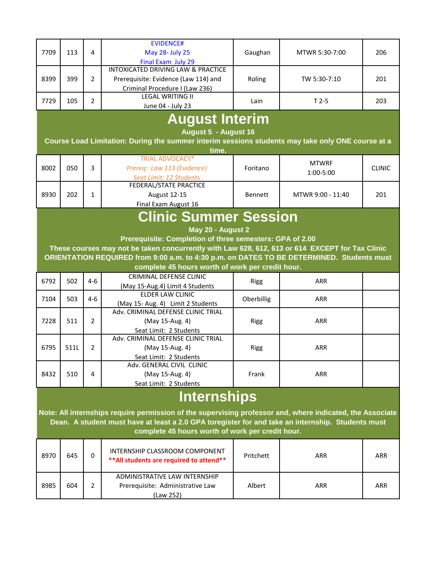| 7709 | 113 | 4 | EVIDENCE#<br>May 28- July 25<br>Final Exam July 29                                                           | Gaughan | MTWR 5:30-7:00 | 206 |
|------|-----|---|--------------------------------------------------------------------------------------------------------------|---------|----------------|-----|
| 8399 | 399 |   | INTOXICATED DRIVING LAW & PRACTICE<br>Prerequisite: Evidence (Law 114) and<br>Criminal Procedure I (Law 236) | Roling  | TW 5:30-7:10   | 201 |
| 7729 | 105 |   | <b>LEGAL WRITING II</b><br>June 04 - July 23                                                                 | Lain    | $T2-5$         | 203 |

## **August Interim**

**August 5 - August 16** 

**Course Load Limitation: During the summer interim sessions students may take only ONE course at a** 

|      |     |   | time.                                                                           |                |                           |               |
|------|-----|---|---------------------------------------------------------------------------------|----------------|---------------------------|---------------|
| 8002 | 050 | 3 | <b>TRIAL ADVOCACY*</b><br>Prereg: Law 113 (Evidence)<br>Seat Limit: 12 Students | Foritano       | <b>MTWRF</b><br>1:00-5:00 | <b>CLINIC</b> |
| 8930 | 202 |   | FEDERAL/STATE PRACTICE<br><b>August 12-15</b><br>Final Exam August 16           | <b>Bennett</b> | MTWR 9:00 - 11:40         | 201           |

## **Clinic Summer Session**

 **May 20 - August 2** 

**Prerequisite: Completion of three semesters: GPA of 2.00** 

**These courses may not be taken concurrently with Law 628, 612, 613 or 614 EXCEPT for Tax Clinic ORIENTATION REQUIRED from 9:00 a.m. to 4:30 p.m. on DATES TO BE DETERMINED. Students must complete 45 hours worth of work per credit hour.**

| 6792 | 502  | $4-6$ | CRIMINAL DEFENSE CLINIC<br>(May 15-Aug.4) Limit 4 Students                      | Rigg              | <b>ARR</b> |  |
|------|------|-------|---------------------------------------------------------------------------------|-------------------|------------|--|
| 7104 | 503  | 4-6   | ELDER LAW CLINIC<br>(May 15- Aug. 4) Limit 2 Students                           | <b>Oberbillig</b> | <b>ARR</b> |  |
| 7228 | 511  |       | Adv. CRIMINAL DEFENSE CLINIC TRIAL<br>(May 15-Aug. 4)<br>Seat Limit: 2 Students | <b>Rigg</b>       | <b>ARR</b> |  |
| 6795 | 511L |       | Adv. CRIMINAL DEFENSE CLINIC TRIAL<br>(May 15-Aug. 4)<br>Seat Limit: 2 Students | <b>Rigg</b>       | <b>ARR</b> |  |
| 8432 | 510  | 4     | Adv. GENERAL CIVIL CLINIC<br>(May 15-Aug. 4)<br>Seat Limit: 2 Students          | Frank             | <b>ARR</b> |  |

## **Internships**

**Note: All internships require permission of the supervising professor and, where indicated, the Associate Dean. A student must have at least a 2.0 GPA toregister for and take an internship. Students must complete 45 hours worth of work per credit hour.**

| 8970 | 645 | INTERNSHIP CLASSROOM COMPONENT<br>** All students are required to attend**     | Pritchett | ARR | <b>ARR</b> |
|------|-----|--------------------------------------------------------------------------------|-----------|-----|------------|
| 8985 | 604 | ADMINISTRATIVE LAW INTERNSHIP<br>Prerequisite: Administrative Law<br>(Law 252) | Albert    | ARR | <b>ARR</b> |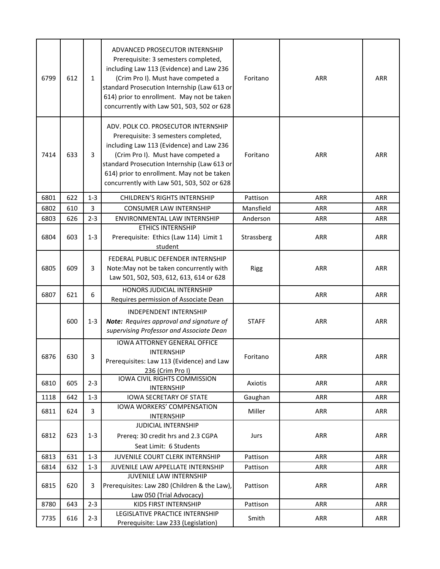| 6799 | 612 | $\mathbf{1}$   | ADVANCED PROSECUTOR INTERNSHIP<br>Prerequisite: 3 semesters completed,<br>including Law 113 (Evidence) and Law 236<br>(Crim Pro I). Must have competed a<br>standard Prosecution Internship (Law 613 or<br>614) prior to enrollment. May not be taken<br>concurrently with Law 501, 503, 502 or 628      | Foritano     | ARR        | <b>ARR</b> |
|------|-----|----------------|----------------------------------------------------------------------------------------------------------------------------------------------------------------------------------------------------------------------------------------------------------------------------------------------------------|--------------|------------|------------|
| 7414 | 633 | $\overline{3}$ | ADV. POLK CO. PROSECUTOR INTERNSHIP<br>Prerequisite: 3 semesters completed,<br>including Law 113 (Evidence) and Law 236<br>(Crim Pro I). Must have competed a<br>standard Prosecution Internship (Law 613 or<br>614) prior to enrollment. May not be taken<br>concurrently with Law 501, 503, 502 or 628 | Foritano     | <b>ARR</b> | <b>ARR</b> |
| 6801 | 622 | $1 - 3$        | <b>CHILDREN'S RIGHTS INTERNSHIP</b>                                                                                                                                                                                                                                                                      | Pattison     | <b>ARR</b> | <b>ARR</b> |
| 6802 | 610 | 3              | <b>CONSUMER LAW INTERNSHIP</b>                                                                                                                                                                                                                                                                           | Mansfield    | <b>ARR</b> | <b>ARR</b> |
| 6803 | 626 | $2 - 3$        | ENVIRONMENTAL LAW INTERNSHIP                                                                                                                                                                                                                                                                             | Anderson     | ARR        | <b>ARR</b> |
| 6804 | 603 | $1 - 3$        | <b>ETHICS INTERNSHIP</b><br>Prerequisite: Ethics (Law 114) Limit 1<br>student                                                                                                                                                                                                                            | Strassberg   | <b>ARR</b> | ARR        |
| 6805 | 609 | 3              | FEDERAL PUBLIC DEFENDER INTERNSHIP<br>Note: May not be taken concurrently with<br>Law 501, 502, 503, 612, 613, 614 or 628                                                                                                                                                                                | <b>Rigg</b>  | ARR        | <b>ARR</b> |
| 6807 | 621 | 6              | <b>HONORS JUDICIAL INTERNSHIP</b><br>Requires permission of Associate Dean                                                                                                                                                                                                                               |              | ARR        | <b>ARR</b> |
|      | 600 | $1 - 3$        | <b>INDEPENDENT INTERNSHIP</b><br>Note: Requires approval and signature of<br>supervising Professor and Associate Dean                                                                                                                                                                                    | <b>STAFF</b> | <b>ARR</b> | <b>ARR</b> |
| 6876 | 630 | 3              | <b>IOWA ATTORNEY GENERAL OFFICE</b><br><b>INTERNSHIP</b><br>Prerequisites: Law 113 (Evidence) and Law<br>236 (Crim Pro I)                                                                                                                                                                                | Foritano     | <b>ARR</b> | <b>ARR</b> |
| 6810 | 605 | $2 - 3$        | IOWA CIVIL RIGHTS COMMISSION<br><b>INTERNSHIP</b>                                                                                                                                                                                                                                                        | Axiotis      | <b>ARR</b> | <b>ARR</b> |
| 1118 | 642 | $1-3$          | <b>IOWA SECRETARY OF STATE</b>                                                                                                                                                                                                                                                                           | Gaughan      | <b>ARR</b> | ARR        |
| 6811 | 624 | 3              | IOWA WORKERS' COMPENSATION<br><b>INTERNSHIP</b>                                                                                                                                                                                                                                                          | Miller       | ARR        | ARR        |
| 6812 | 623 | $1 - 3$        | JUDICIAL INTERNSHIP<br>Prereq: 30 credit hrs and 2.3 CGPA<br>Seat Limit: 6 Students                                                                                                                                                                                                                      | Jurs         | ARR        | <b>ARR</b> |
| 6813 | 631 | $1 - 3$        | JUVENILE COURT CLERK INTERNSHIP                                                                                                                                                                                                                                                                          | Pattison     | ARR        | <b>ARR</b> |
| 6814 | 632 | $1 - 3$        | JUVENILE LAW APPELLATE INTERNSHIP                                                                                                                                                                                                                                                                        | Pattison     | <b>ARR</b> | <b>ARR</b> |
| 6815 | 620 | 3              | JUVENILE LAW INTERNSHIP<br>Prerequisites: Law 280 (Children & the Law),<br>Law 050 (Trial Advocacy)                                                                                                                                                                                                      | Pattison     | ARR        | <b>ARR</b> |
| 8780 | 643 | $2 - 3$        | KIDS FIRST INTERNSHIP                                                                                                                                                                                                                                                                                    | Pattison     | ARR        | <b>ARR</b> |
| 7735 | 616 | $2 - 3$        | LEGISLATIVE PRACTICE INTERNSHIP<br>Prerequisite: Law 233 (Legislation)                                                                                                                                                                                                                                   | Smith        | ARR        | ARR        |